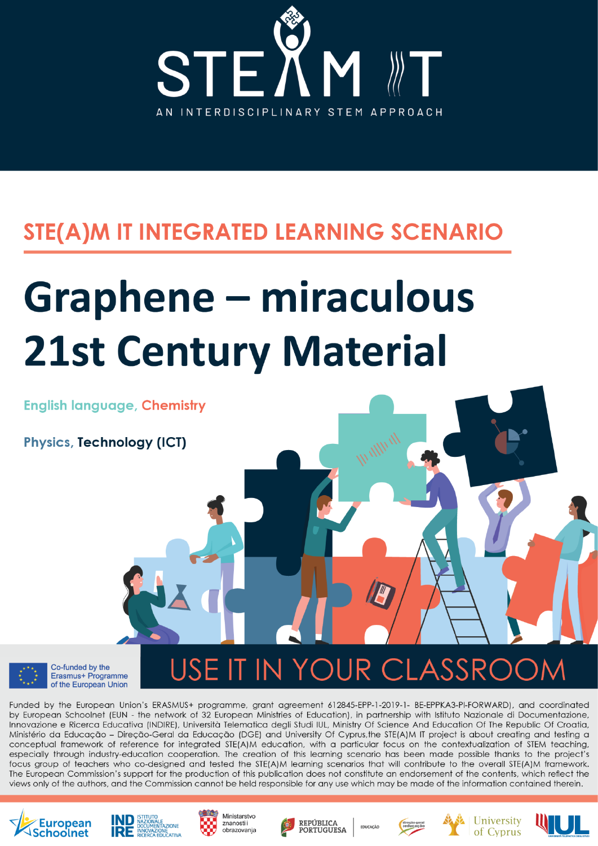

# STE(A)M IT INTEGRATED LEARNING SCENARIO

# **Graphene - miraculous 21st Century Material**



**Physics, Technology (ICT)** 



USE IT IN YOUR CLASSRC

Funded by the European Union's ERASMUS+ programme, grant agreement 612845-EPP-1-2019-1- BE-EPPKA3-PI-FORWARD), and coordinated by European Schoolnet (EUN - the network of 32 European Ministries of Education), in partnership with Istituto Nazionale di Documentazione, Innovazione e Ricerca Educativa (INDIRE), Università Telematica degli Studi IUL, Ministry Of Science And Education Of The Republic Of Croatia, Ministério da Educação - Direção-Geral da Educação (DGE) and University Of Cyprus, the STE(A)M IT project is about creating and testing a conceptual framework of reference for integrated STE(A)M education, with a particular focus on the contextualization of STEM teaching, especially through industry-education cooperation. The creation of this learning scenario has been made possible thanks to the project's focus group of teachers who co-designed and tested the STE(A)M learning scenarios that will contribute to the overall STE(A)M framework. The European Commission's support for the production of this publication does not constitute an endorsement of the contents, which reflect the views only of the authors, and the Commission cannot be held responsible for any use which may be made of the information contained therein.









The work presented in this document has received funding from the European Union's ERASMUS+ programme project STE(A)M IT (Grant







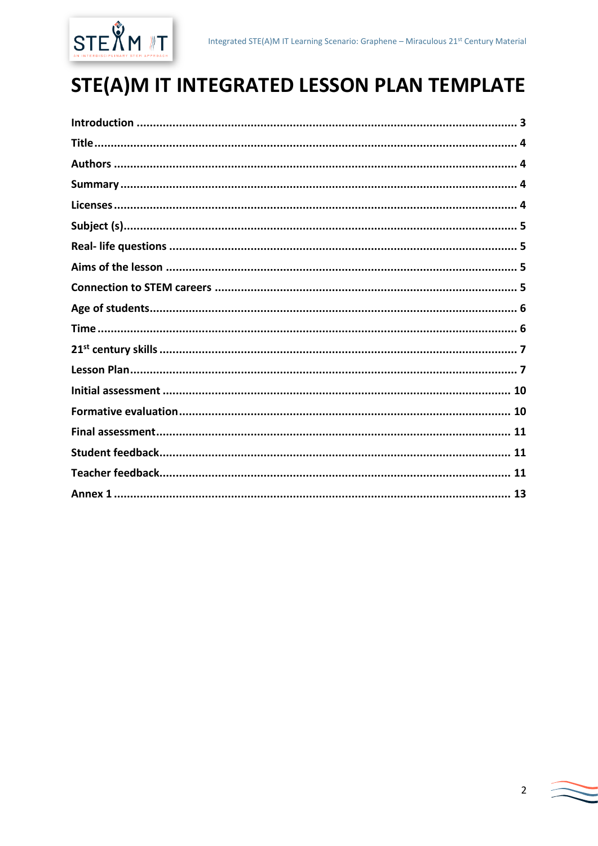

# STE(A)M IT INTEGRATED LESSON PLAN TEMPLATE

| 13 |  |
|----|--|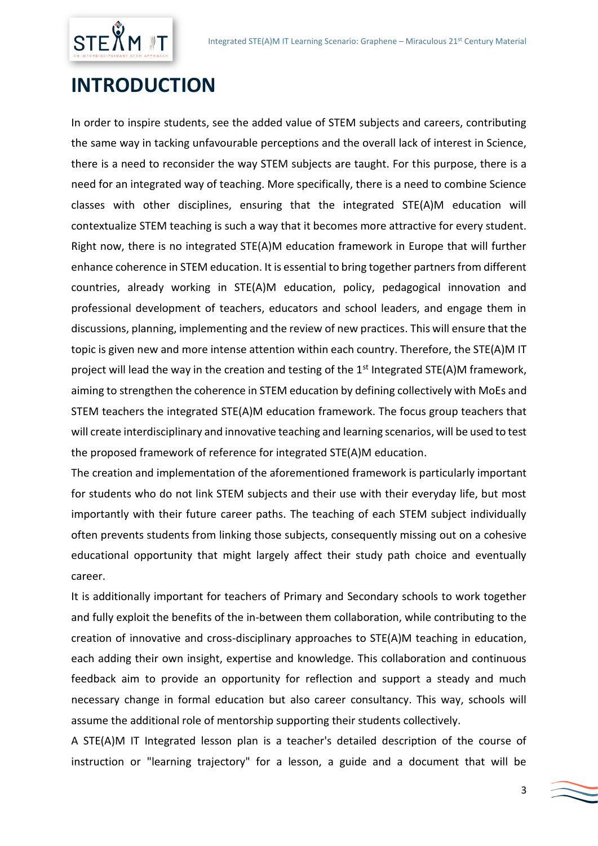

# <span id="page-2-0"></span>**INTRODUCTION**

In order to inspire students, see the added value of STEM subjects and careers, contributing the same way in tacking unfavourable perceptions and the overall lack of interest in Science, there is a need to reconsider the way STEM subjects are taught. For this purpose, there is a need for an integrated way of teaching. More specifically, there is a need to combine Science classes with other disciplines, ensuring that the integrated STE(A)M education will contextualize STEM teaching is such a way that it becomes more attractive for every student. Right now, there is no integrated STE(A)M education framework in Europe that will further enhance coherence in STEM education. It is essential to bring together partners from different countries, already working in STE(A)M education, policy, pedagogical innovation and professional development of teachers, educators and school leaders, and engage them in discussions, planning, implementing and the review of new practices. This will ensure that the topic is given new and more intense attention within each country. Therefore, the STE(A)M IT project will lead the way in the creation and testing of the  $1<sup>st</sup>$  Integrated STE(A)M framework, aiming to strengthen the coherence in STEM education by defining collectively with MoEs and STEM teachers the integrated STE(A)M education framework. The focus group teachers that will create interdisciplinary and innovative teaching and learning scenarios, will be used to test the proposed framework of reference for integrated STE(A)M education.

The creation and implementation of the aforementioned framework is particularly important for students who do not link STEM subjects and their use with their everyday life, but most importantly with their future career paths. The teaching of each STEM subject individually often prevents students from linking those subjects, consequently missing out on a cohesive educational opportunity that might largely affect their study path choice and eventually career.

It is additionally important for teachers of Primary and Secondary schools to work together and fully exploit the benefits of the in-between them collaboration, while contributing to the creation of innovative and cross-disciplinary approaches to STE(A)M teaching in education, each adding their own insight, expertise and knowledge. This collaboration and continuous feedback aim to provide an opportunity for reflection and support a steady and much necessary change in formal education but also career consultancy. This way, schools will assume the additional role of mentorship supporting their students collectively.

A STE(A)M IT Integrated lesson plan is a teacher's detailed description of the course of instruction or "learning trajectory" for a lesson, a guide and a document that will be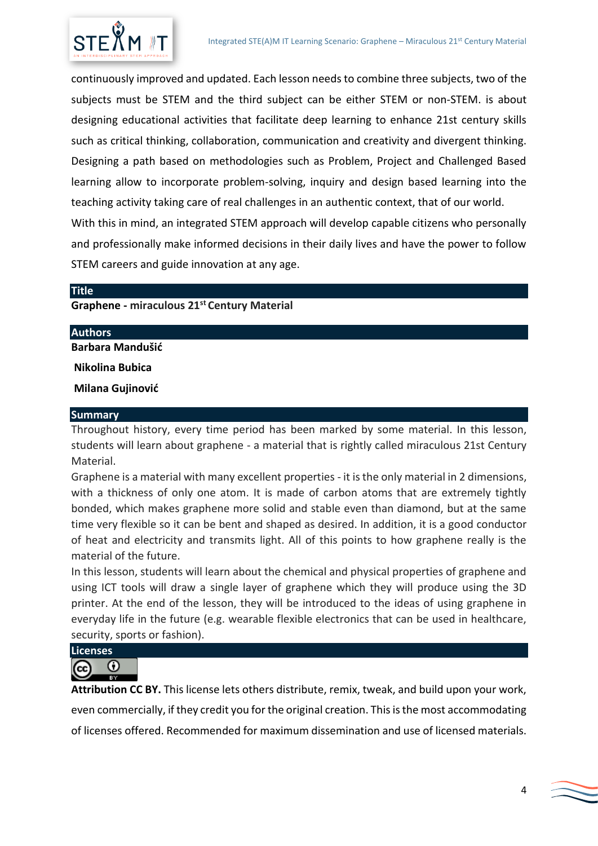

continuously improved and updated. Each lesson needs to combine three subjects, two of the subjects must be STEM and the third subject can be either STEM or non-STEM. is about designing educational activities that facilitate deep learning to enhance 21st century skills such as critical thinking, collaboration, communication and creativity and divergent thinking. Designing a path based on methodologies such as Problem, Project and Challenged Based learning allow to incorporate problem-solving, inquiry and design based learning into the teaching activity taking care of real challenges in an authentic context, that of our world.

With this in mind, an integrated STEM approach will develop capable citizens who personally and professionally make informed decisions in their daily lives and have the power to follow STEM careers and guide innovation at any age.

## <span id="page-3-0"></span>**Title**

## **Graphene - miraculous 21st Century Material**

#### <span id="page-3-1"></span>**Authors**

**Barbara Mandušić**

**Nikolina Bubica**

**Milana Gujinović**

#### <span id="page-3-2"></span>**Summary**

Throughout history, every time period has been marked by some material. In this lesson, students will learn about graphene - a material that is rightly called miraculous 21st Century Material.

Graphene is a material with many excellent properties - it is the only material in 2 dimensions, with a thickness of only one atom. It is made of carbon atoms that are extremely tightly bonded, which makes graphene more solid and stable even than diamond, but at the same time very flexible so it can be bent and shaped as desired. In addition, it is a good conductor of heat and electricity and transmits light. All of this points to how graphene really is the material of the future.

In this lesson, students will learn about the chemical and physical properties of graphene and using ICT tools will draw a single layer of graphene which they will produce using the 3D printer. At the end of the lesson, they will be introduced to the ideas of using graphene in everyday life in the future (e.g. wearable flexible electronics that can be used in healthcare, security, sports or fashion).

<span id="page-3-3"></span>**Licenses**

 $\odot$ (cc

**Attribution CC BY.** This license lets others distribute, remix, tweak, and build upon your work, even commercially, if they credit you for the original creation. This is the most accommodating of licenses offered. Recommended for maximum dissemination and use of licensed materials.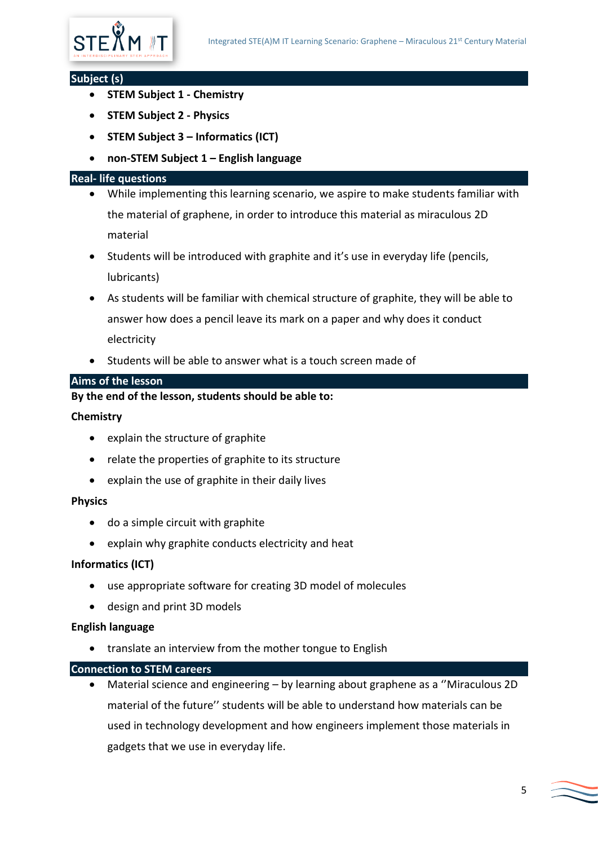

#### <span id="page-4-0"></span>**Subject (s)**

- **STEM Subject 1 - Chemistry**
- **STEM Subject 2 - Physics**
- **STEM Subject 3 – Informatics (ICT)**
- **non-STEM Subject 1 – English language**

#### <span id="page-4-1"></span>**Real- life questions**

- While implementing this learning scenario, we aspire to make students familiar with the material of graphene, in order to introduce this material as miraculous 2D material
- Students will be introduced with graphite and it's use in everyday life (pencils, lubricants)
- As students will be familiar with chemical structure of graphite, they will be able to answer how does a pencil leave its mark on a paper and why does it conduct electricity
- Students will be able to answer what is a touch screen made of

## <span id="page-4-2"></span>**Aims of the lesson**

## **By the end of the lesson, students should be able to:**

#### **Chemistry**

- explain the structure of graphite
- relate the properties of graphite to its structure
- explain the use of graphite in their daily lives

#### **Physics**

- do a simple circuit with graphite
- explain why graphite conducts electricity and heat

#### **Informatics (ICT)**

- use appropriate software for creating 3D model of molecules
- design and print 3D models

#### **English language**

• translate an interview from the mother tongue to English

#### <span id="page-4-3"></span>**Connection to STEM careers**

• Material science and engineering – by learning about graphene as a ''Miraculous 2D material of the future'' students will be able to understand how materials can be used in technology development and how engineers implement those materials in gadgets that we use in everyday life.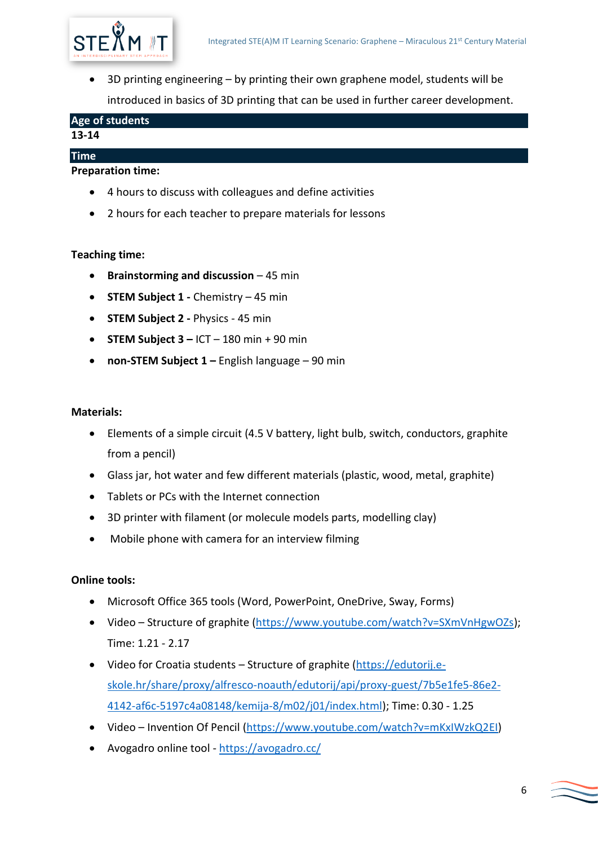

• 3D printing engineering – by printing their own graphene model, students will be introduced in basics of 3D printing that can be used in further career development.

<span id="page-5-0"></span>

| Age of students |  |
|-----------------|--|
| 13-14           |  |

## **Preparation time:**

<span id="page-5-1"></span>**Time**

- 4 hours to discuss with colleagues and define activities
- 2 hours for each teacher to prepare materials for lessons

## **Teaching time:**

- **Brainstorming and discussion**  45 min
- **STEM Subject 1 -** Chemistry 45 min
- **STEM Subject 2 -** Physics 45 min
- **STEM Subject 3 –** ICT 180 min + 90 min
- **non-STEM Subject 1 –** English language 90 min

#### **Materials:**

- Elements of a simple circuit (4.5 V battery, light bulb, switch, conductors, graphite from a pencil)
- Glass jar, hot water and few different materials (plastic, wood, metal, graphite)
- Tablets or PCs with the Internet connection
- 3D printer with filament (or molecule models parts, modelling clay)
- Mobile phone with camera for an interview filming

#### **Online tools:**

- Microsoft Office 365 tools (Word, PowerPoint, OneDrive, Sway, Forms)
- Video Structure of graphite [\(https://www.youtube.com/watch?v=SXmVnHgwOZs\)](https://www.youtube.com/watch?v=SXmVnHgwOZs); Time: 1.21 - 2.17
- Video for Croatia students Structure of graphite [\(https://edutorij.e](https://edutorij.e-skole.hr/share/proxy/alfresco-noauth/edutorij/api/proxy-guest/7b5e1fe5-86e2-4142-af6c-5197c4a08148/kemija-8/m02/j01/index.html)[skole.hr/share/proxy/alfresco-noauth/edutorij/api/proxy-guest/7b5e1fe5-86e2-](https://edutorij.e-skole.hr/share/proxy/alfresco-noauth/edutorij/api/proxy-guest/7b5e1fe5-86e2-4142-af6c-5197c4a08148/kemija-8/m02/j01/index.html) [4142-af6c-5197c4a08148/kemija-8/m02/j01/index.html\)](https://edutorij.e-skole.hr/share/proxy/alfresco-noauth/edutorij/api/proxy-guest/7b5e1fe5-86e2-4142-af6c-5197c4a08148/kemija-8/m02/j01/index.html); Time: 0.30 - 1.25
- Video Invention Of Pencil [\(https://www.youtube.com/watch?v=mKxIWzkQ2EI\)](https://www.youtube.com/watch?v=mKxIWzkQ2EI)
- Avogadro online tool <https://avogadro.cc/>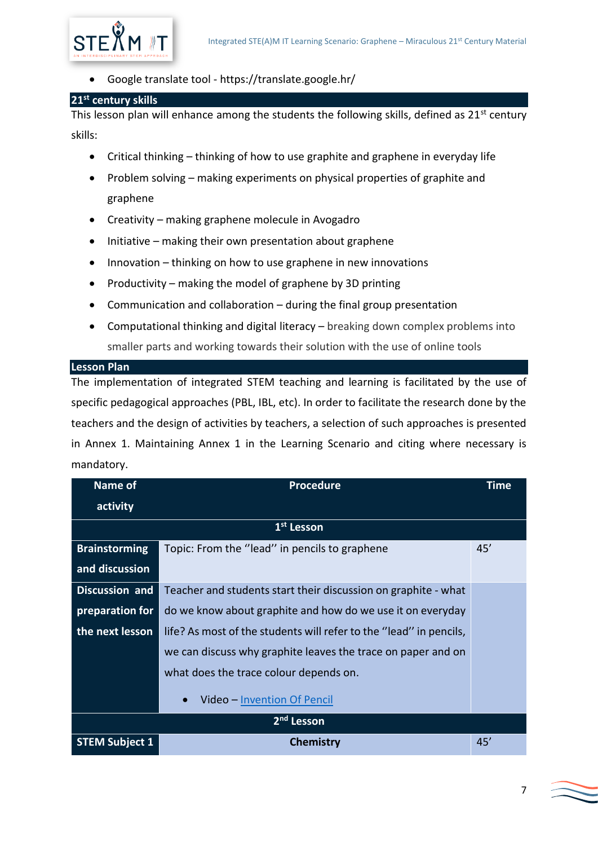

• Google translate tool - https://translate.google.hr/

## <span id="page-6-0"></span>**21st century skills**

This lesson plan will enhance among the students the following skills, defined as 21<sup>st</sup> century skills:

- Critical thinking thinking of how to use graphite and graphene in everyday life
- Problem solving making experiments on physical properties of graphite and graphene
- Creativity making graphene molecule in Avogadro
- Initiative making their own presentation about graphene
- Innovation thinking on how to use graphene in new innovations
- Productivity making the model of graphene by 3D printing
- Communication and collaboration during the final group presentation
- Computational thinking and digital literacy breaking down complex problems into smaller parts and working towards their solution with the use of online tools

## <span id="page-6-1"></span>**Lesson Plan**

The implementation of integrated STEM teaching and learning is facilitated by the use of specific pedagogical approaches (PBL, IBL, etc). In order to facilitate the research done by the teachers and the design of activities by teachers, a selection of such approaches is presented in Annex 1. Maintaining Annex 1 in the Learning Scenario and citing where necessary is mandatory.

| Name of                | <b>Procedure</b>                                                   | <b>Time</b> |  |
|------------------------|--------------------------------------------------------------------|-------------|--|
| activity               |                                                                    |             |  |
| 1 <sup>st</sup> Lesson |                                                                    |             |  |
| <b>Brainstorming</b>   | Topic: From the "lead" in pencils to graphene                      | 45'         |  |
| and discussion         |                                                                    |             |  |
| <b>Discussion and</b>  | Teacher and students start their discussion on graphite - what     |             |  |
| preparation for        | do we know about graphite and how do we use it on everyday         |             |  |
| the next lesson        | life? As most of the students will refer to the "lead" in pencils, |             |  |
|                        | we can discuss why graphite leaves the trace on paper and on       |             |  |
|                        | what does the trace colour depends on.                             |             |  |
|                        | Video - Invention Of Pencil<br>$\bullet$                           |             |  |
| 2 <sup>nd</sup> Lesson |                                                                    |             |  |
| <b>STEM Subject 1</b>  | Chemistry                                                          | 45'         |  |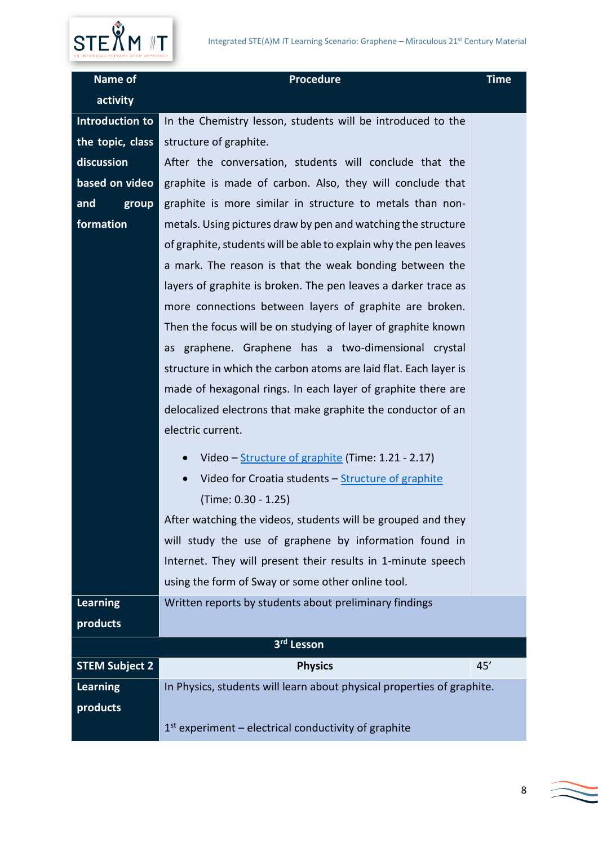## Integrated STE(A)M IT Learning Scenario: Graphene – Miraculous 21st Century Material



| Name of               | <b>Procedure</b>                                                       | <b>Time</b> |
|-----------------------|------------------------------------------------------------------------|-------------|
| activity              |                                                                        |             |
| Introduction to       | In the Chemistry lesson, students will be introduced to the            |             |
| the topic, class      | structure of graphite.                                                 |             |
| discussion            | After the conversation, students will conclude that the                |             |
| based on video        | graphite is made of carbon. Also, they will conclude that              |             |
| and<br>group          | graphite is more similar in structure to metals than non-              |             |
| formation             | metals. Using pictures draw by pen and watching the structure          |             |
|                       | of graphite, students will be able to explain why the pen leaves       |             |
|                       | a mark. The reason is that the weak bonding between the                |             |
|                       | layers of graphite is broken. The pen leaves a darker trace as         |             |
|                       | more connections between layers of graphite are broken.                |             |
|                       | Then the focus will be on studying of layer of graphite known          |             |
|                       | graphene. Graphene has a two-dimensional crystal<br>as                 |             |
|                       | structure in which the carbon atoms are laid flat. Each layer is       |             |
|                       | made of hexagonal rings. In each layer of graphite there are           |             |
|                       | delocalized electrons that make graphite the conductor of an           |             |
|                       | electric current.                                                      |             |
|                       | Video - Structure of graphite (Time: 1.21 - 2.17)<br>$\bullet$         |             |
|                       | Video for Croatia students - Structure of graphite<br>$\bullet$        |             |
|                       | (Time: 0.30 - 1.25)                                                    |             |
|                       | After watching the videos, students will be grouped and they           |             |
|                       | will study the use of graphene by information found in                 |             |
|                       | Internet. They will present their results in 1-minute speech           |             |
|                       | using the form of Sway or some other online tool.                      |             |
| <b>Learning</b>       | Written reports by students about preliminary findings                 |             |
| products              |                                                                        |             |
|                       | 3rd Lesson                                                             |             |
| <b>STEM Subject 2</b> | <b>Physics</b>                                                         | 45'         |
| <b>Learning</b>       | In Physics, students will learn about physical properties of graphite. |             |
| products              |                                                                        |             |
|                       | $1st$ experiment – electrical conductivity of graphite                 |             |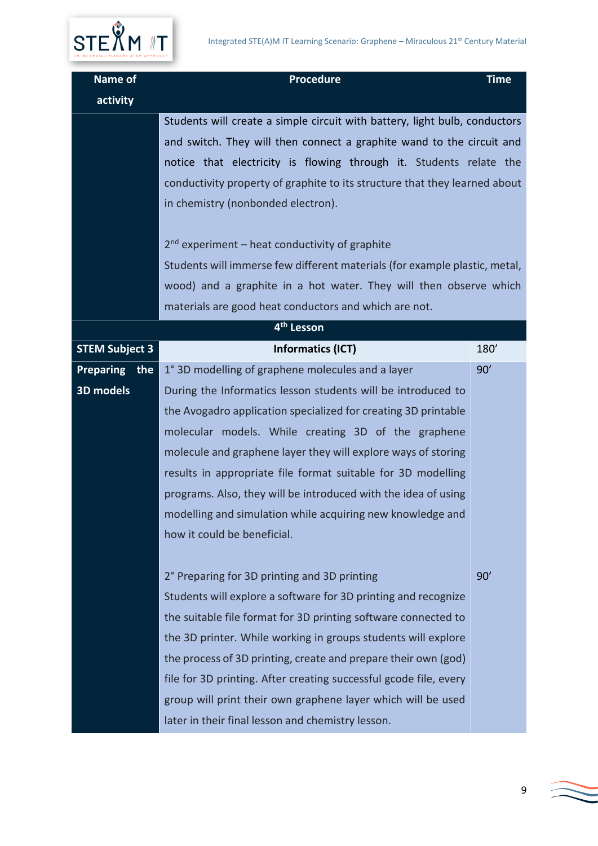



| Name of                 | <b>Procedure</b>                                                                                                                                                                                                                                                                                                                                                                                                                                                                                                                                     | <b>Time</b> |
|-------------------------|------------------------------------------------------------------------------------------------------------------------------------------------------------------------------------------------------------------------------------------------------------------------------------------------------------------------------------------------------------------------------------------------------------------------------------------------------------------------------------------------------------------------------------------------------|-------------|
| activity                |                                                                                                                                                                                                                                                                                                                                                                                                                                                                                                                                                      |             |
|                         | Students will create a simple circuit with battery, light bulb, conductors<br>and switch. They will then connect a graphite wand to the circuit and<br>notice that electricity is flowing through it. Students relate the<br>conductivity property of graphite to its structure that they learned about<br>in chemistry (nonbonded electron).<br>$2nd$ experiment – heat conductivity of graphite<br>Students will immerse few different materials (for example plastic, metal,<br>wood) and a graphite in a hot water. They will then observe which |             |
|                         | materials are good heat conductors and which are not.                                                                                                                                                                                                                                                                                                                                                                                                                                                                                                |             |
|                         | 4 <sup>th</sup> Lesson                                                                                                                                                                                                                                                                                                                                                                                                                                                                                                                               |             |
| <b>STEM Subject 3</b>   | <b>Informatics (ICT)</b>                                                                                                                                                                                                                                                                                                                                                                                                                                                                                                                             | 180'        |
| <b>Preparing</b><br>the | 1° 3D modelling of graphene molecules and a layer                                                                                                                                                                                                                                                                                                                                                                                                                                                                                                    | 90'         |
| 3D models               | During the Informatics lesson students will be introduced to                                                                                                                                                                                                                                                                                                                                                                                                                                                                                         |             |
|                         | the Avogadro application specialized for creating 3D printable                                                                                                                                                                                                                                                                                                                                                                                                                                                                                       |             |
|                         | molecular models. While creating 3D of the graphene                                                                                                                                                                                                                                                                                                                                                                                                                                                                                                  |             |
|                         | molecule and graphene layer they will explore ways of storing                                                                                                                                                                                                                                                                                                                                                                                                                                                                                        |             |
|                         | results in appropriate file format suitable for 3D modelling                                                                                                                                                                                                                                                                                                                                                                                                                                                                                         |             |
|                         | programs. Also, they will be introduced with the idea of using                                                                                                                                                                                                                                                                                                                                                                                                                                                                                       |             |
|                         | modelling and simulation while acquiring new knowledge and                                                                                                                                                                                                                                                                                                                                                                                                                                                                                           |             |
|                         | how it could be beneficial.                                                                                                                                                                                                                                                                                                                                                                                                                                                                                                                          |             |
|                         |                                                                                                                                                                                                                                                                                                                                                                                                                                                                                                                                                      |             |
|                         | 2° Preparing for 3D printing and 3D printing                                                                                                                                                                                                                                                                                                                                                                                                                                                                                                         | 90'         |
|                         | Students will explore a software for 3D printing and recognize                                                                                                                                                                                                                                                                                                                                                                                                                                                                                       |             |
|                         | the suitable file format for 3D printing software connected to                                                                                                                                                                                                                                                                                                                                                                                                                                                                                       |             |
|                         | the 3D printer. While working in groups students will explore                                                                                                                                                                                                                                                                                                                                                                                                                                                                                        |             |
|                         | the process of 3D printing, create and prepare their own (god)                                                                                                                                                                                                                                                                                                                                                                                                                                                                                       |             |
|                         | file for 3D printing. After creating successful gcode file, every                                                                                                                                                                                                                                                                                                                                                                                                                                                                                    |             |
|                         | group will print their own graphene layer which will be used                                                                                                                                                                                                                                                                                                                                                                                                                                                                                         |             |
|                         | later in their final lesson and chemistry lesson.                                                                                                                                                                                                                                                                                                                                                                                                                                                                                                    |             |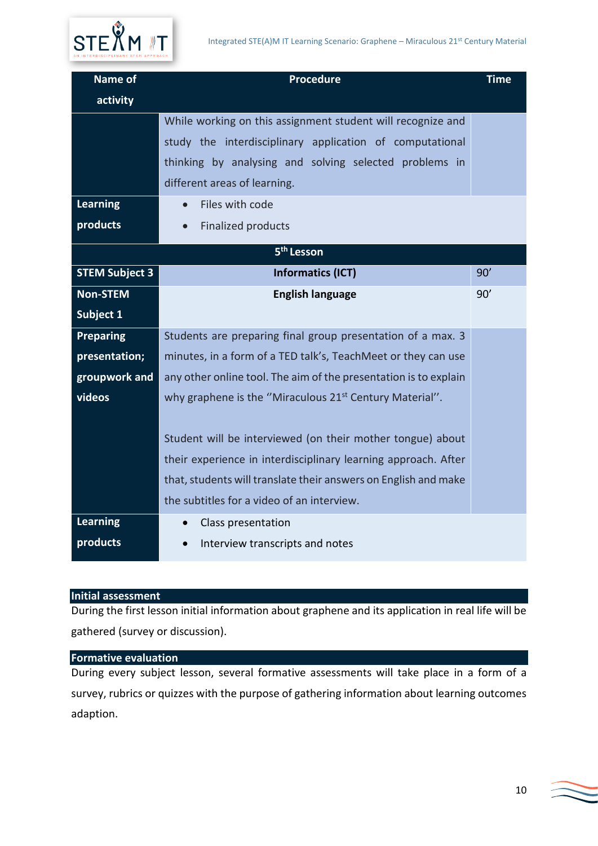| <b>Name of</b>         | <b>Procedure</b>                                                    | <b>Time</b> |
|------------------------|---------------------------------------------------------------------|-------------|
| activity               |                                                                     |             |
|                        | While working on this assignment student will recognize and         |             |
|                        | study the interdisciplinary application of computational            |             |
|                        | thinking by analysing and solving selected problems in              |             |
|                        | different areas of learning.                                        |             |
| <b>Learning</b>        | Files with code<br>$\bullet$                                        |             |
| products               | <b>Finalized products</b>                                           |             |
| 5 <sup>th</sup> Lesson |                                                                     |             |
| <b>STEM Subject 3</b>  | <b>Informatics (ICT)</b>                                            | 90'         |
| <b>Non-STEM</b>        | <b>English language</b>                                             | 90'         |
| Subject 1              |                                                                     |             |
| <b>Preparing</b>       | Students are preparing final group presentation of a max. 3         |             |
| presentation;          | minutes, in a form of a TED talk's, TeachMeet or they can use       |             |
| groupwork and          | any other online tool. The aim of the presentation is to explain    |             |
| videos                 | why graphene is the "Miraculous 21 <sup>st</sup> Century Material". |             |
|                        |                                                                     |             |
|                        | Student will be interviewed (on their mother tongue) about          |             |
|                        | their experience in interdisciplinary learning approach. After      |             |
|                        | that, students will translate their answers on English and make     |             |
|                        | the subtitles for a video of an interview.                          |             |
| <b>Learning</b>        | Class presentation<br>$\bullet$                                     |             |
| products               | Interview transcripts and notes                                     |             |

# <span id="page-9-0"></span>**Initial assessment**

During the first lesson initial information about graphene and its application in real life will be gathered (survey or discussion).

#### <span id="page-9-1"></span>**Formative evaluation**

During every subject lesson, several formative assessments will take place in a form of a survey, rubrics or quizzes with the purpose of gathering information about learning outcomes adaption.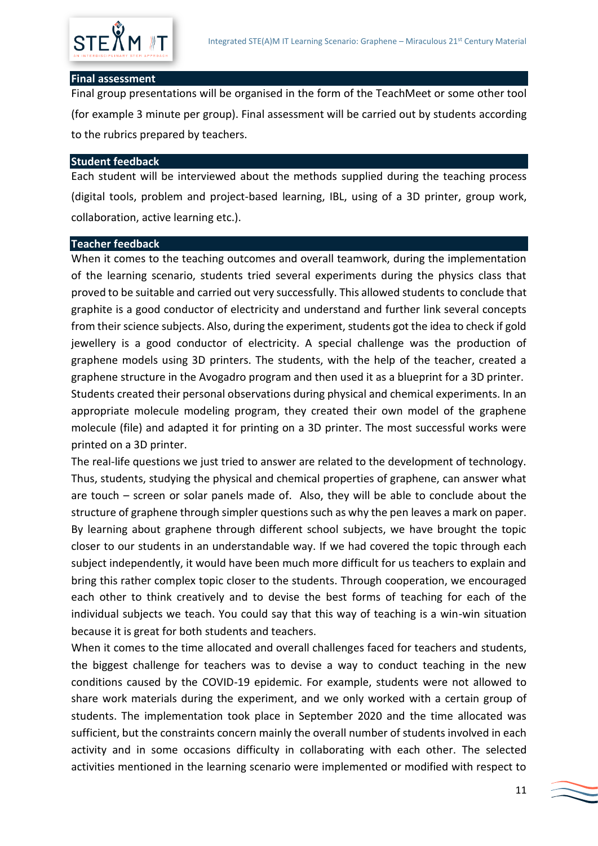

#### <span id="page-10-0"></span>**Final assessment**

Final group presentations will be organised in the form of the TeachMeet or some other tool (for example 3 minute per group). Final assessment will be carried out by students according to the rubrics prepared by teachers.

#### <span id="page-10-1"></span>**Student feedback**

Each student will be interviewed about the methods supplied during the teaching process (digital tools, problem and project-based learning, IBL, using of a 3D printer, group work, collaboration, active learning etc.).

#### <span id="page-10-2"></span>**Teacher feedback**

When it comes to the teaching outcomes and overall teamwork, during the implementation of the learning scenario, students tried several experiments during the physics class that proved to be suitable and carried out very successfully. This allowed students to conclude that graphite is a good conductor of electricity and understand and further link several concepts from their science subjects. Also, during the experiment, students got the idea to check if gold jewellery is a good conductor of electricity. A special challenge was the production of graphene models using 3D printers. The students, with the help of the teacher, created a graphene structure in the Avogadro program and then used it as a blueprint for a 3D printer. Students created their personal observations during physical and chemical experiments. In an appropriate molecule modeling program, they created their own model of the graphene molecule (file) and adapted it for printing on a 3D printer. The most successful works were printed on a 3D printer.

The real-life questions we just tried to answer are related to the development of technology. Thus, students, studying the physical and chemical properties of graphene, can answer what are touch – screen or solar panels made of. Also, they will be able to conclude about the structure of graphene through simpler questions such as why the pen leaves a mark on paper. By learning about graphene through different school subjects, we have brought the topic closer to our students in an understandable way. If we had covered the topic through each subject independently, it would have been much more difficult for us teachers to explain and bring this rather complex topic closer to the students. Through cooperation, we encouraged each other to think creatively and to devise the best forms of teaching for each of the individual subjects we teach. You could say that this way of teaching is a win-win situation because it is great for both students and teachers.

When it comes to the time allocated and overall challenges faced for teachers and students, the biggest challenge for teachers was to devise a way to conduct teaching in the new conditions caused by the COVID-19 epidemic. For example, students were not allowed to share work materials during the experiment, and we only worked with a certain group of students. The implementation took place in September 2020 and the time allocated was sufficient, but the constraints concern mainly the overall number of students involved in each activity and in some occasions difficulty in collaborating with each other. The selected activities mentioned in the learning scenario were implemented or modified with respect to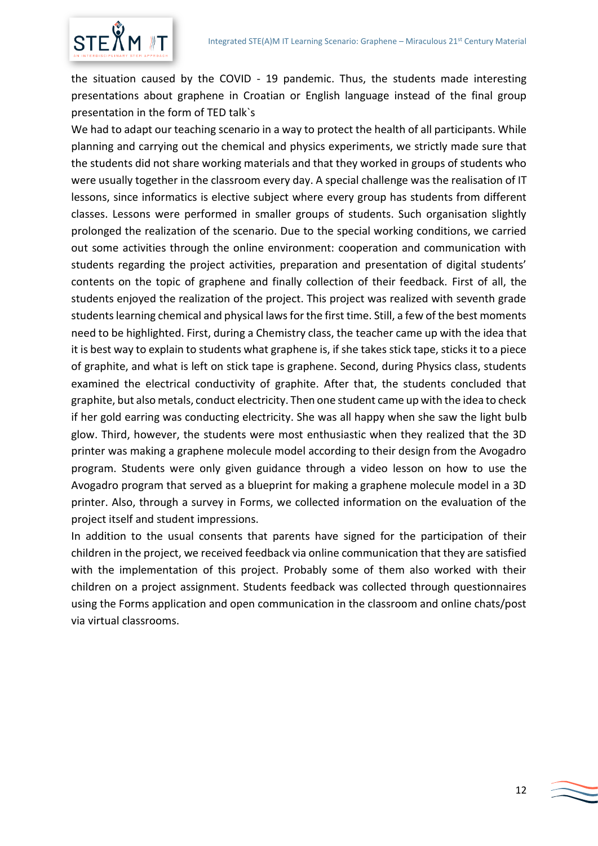

the situation caused by the COVID - 19 pandemic. Thus, the students made interesting presentations about graphene in Croatian or English language instead of the final group presentation in the form of TED talk`s

We had to adapt our teaching scenario in a way to protect the health of all participants. While planning and carrying out the chemical and physics experiments, we strictly made sure that the students did not share working materials and that they worked in groups of students who were usually together in the classroom every day. A special challenge was the realisation of IT lessons, since informatics is elective subject where every group has students from different classes. Lessons were performed in smaller groups of students. Such organisation slightly prolonged the realization of the scenario. Due to the special working conditions, we carried out some activities through the online environment: cooperation and communication with students regarding the project activities, preparation and presentation of digital students' contents on the topic of graphene and finally collection of their feedback. First of all, the students enjoyed the realization of the project. This project was realized with seventh grade students learning chemical and physical laws for the first time. Still, a few of the best moments need to be highlighted. First, during a Chemistry class, the teacher came up with the idea that it is best way to explain to students what graphene is, if she takes stick tape, sticks it to a piece of graphite, and what is left on stick tape is graphene. Second, during Physics class, students examined the electrical conductivity of graphite. After that, the students concluded that graphite, but also metals, conduct electricity. Then one student came up with the idea to check if her gold earring was conducting electricity. She was all happy when she saw the light bulb glow. Third, however, the students were most enthusiastic when they realized that the 3D printer was making a graphene molecule model according to their design from the Avogadro program. Students were only given guidance through a video lesson on how to use the Avogadro program that served as a blueprint for making a graphene molecule model in a 3D printer. Also, through a survey in Forms, we collected information on the evaluation of the project itself and student impressions.

In addition to the usual consents that parents have signed for the participation of their children in the project, we received feedback via online communication that they are satisfied with the implementation of this project. Probably some of them also worked with their children on a project assignment. Students feedback was collected through questionnaires using the Forms application and open communication in the classroom and online chats/post via virtual classrooms.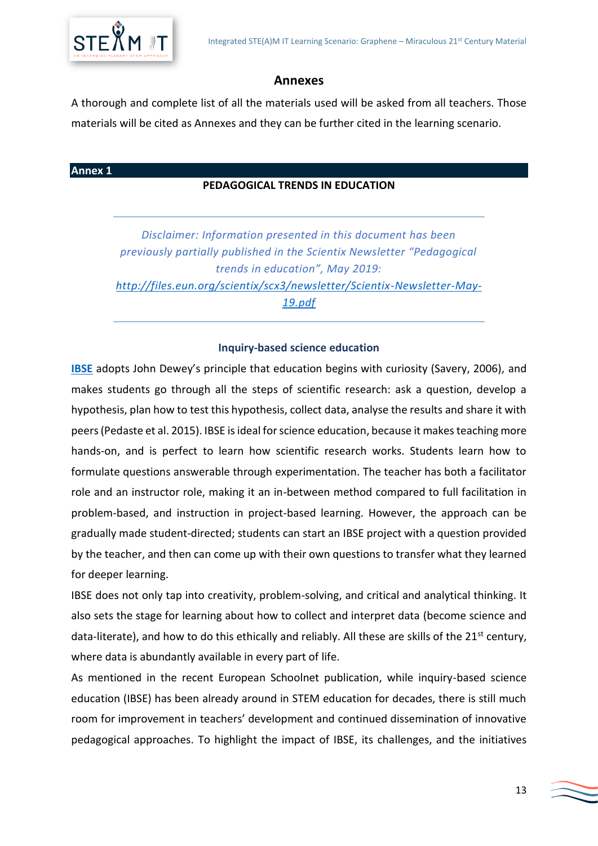# **Annexes**

A thorough and complete list of all the materials used will be asked from all teachers. Those materials will be cited as Annexes and they can be further cited in the learning scenario.

# <span id="page-12-0"></span>**Annex 1**

# **PEDAGOGICAL TRENDS IN EDUCATION**

*Disclaimer: Information presented in this document has been previously partially published in the Scientix Newsletter "Pedagogical trends in education", May 2019: [http://files.eun.org/scientix/scx3/newsletter/Scientix-Newsletter-May-](http://files.eun.org/scientix/scx3/newsletter/Scientix-Newsletter-May-19.pdf)[19.pdf](http://files.eun.org/scientix/scx3/newsletter/Scientix-Newsletter-May-19.pdf)*

#### **Inquiry-based science education**

**[IBSE](https://www.youtube.com/watch?v=u84ZsS6niPc)** adopts John Dewey's principle that education begins with curiosity (Savery, 2006), and makes students go through all the steps of scientific research: ask a question, develop a hypothesis, plan how to test this hypothesis, collect data, analyse the results and share it with peers (Pedaste et al. 2015). IBSE is ideal for science education, because it makes teaching more hands-on, and is perfect to learn how scientific research works. Students learn how to formulate questions answerable through experimentation. The teacher has both a facilitator role and an instructor role, making it an in-between method compared to full facilitation in problem-based, and instruction in project-based learning. However, the approach can be gradually made student-directed; students can start an IBSE project with a question provided by the teacher, and then can come up with their own questions to transfer what they learned for deeper learning.

IBSE does not only tap into creativity, problem-solving, and critical and analytical thinking. It also sets the stage for learning about how to collect and interpret data (become science and data-literate), and how to do this ethically and reliably. All these are skills of the 21<sup>st</sup> century, where data is abundantly available in every part of life.

As mentioned in the recent European Schoolnet publication, while inquiry-based science education (IBSE) has been already around in STEM education for decades, there is still much room for improvement in teachers' development and continued dissemination of innovative pedagogical approaches. To highlight the impact of IBSE, its challenges, and the initiatives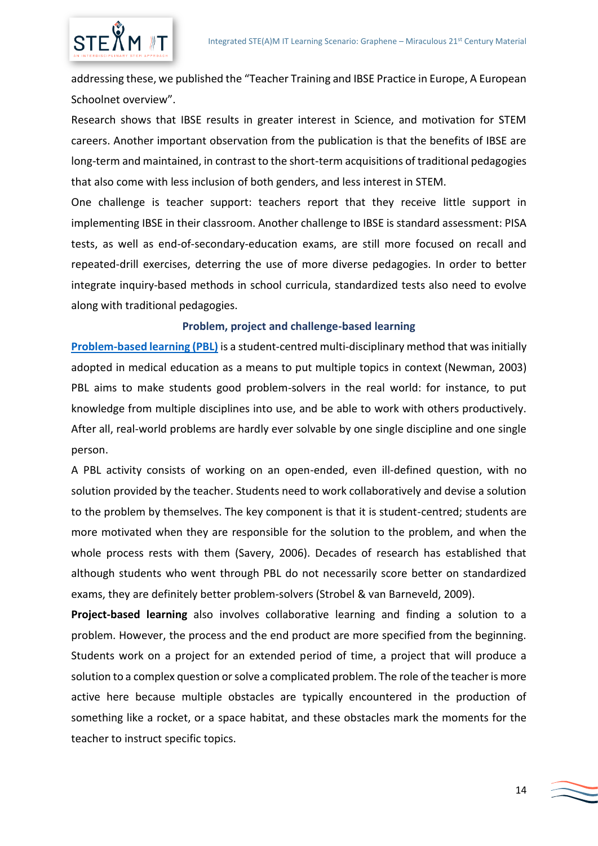

addressing these, we published the "Teacher Training and IBSE Practice in Europe, A European Schoolnet overview".

Research shows that IBSE results in greater interest in Science, and motivation for STEM careers. Another important observation from the publication is that the benefits of IBSE are long-term and maintained, in contrast to the short-term acquisitions of traditional pedagogies that also come with less inclusion of both genders, and less interest in STEM.

One challenge is teacher support: teachers report that they receive little support in implementing IBSE in their classroom. Another challenge to IBSE is standard assessment: PISA tests, as well as end-of-secondary-education exams, are still more focused on recall and repeated-drill exercises, deterring the use of more diverse pedagogies. In order to better integrate inquiry-based methods in school curricula, standardized tests also need to evolve along with traditional pedagogies.

## **Problem, project and challenge-based learning**

**[Problem-based learning \(PBL\)](https://www.youtube.com/watch?v=EuzgJlqzjFw)** is a student-centred multi-disciplinary method that was initially adopted in medical education as a means to put multiple topics in context (Newman, 2003) PBL aims to make students good problem-solvers in the real world: for instance, to put knowledge from multiple disciplines into use, and be able to work with others productively. After all, real-world problems are hardly ever solvable by one single discipline and one single person.

A PBL activity consists of working on an open-ended, even ill-defined question, with no solution provided by the teacher. Students need to work collaboratively and devise a solution to the problem by themselves. The key component is that it is student-centred; students are more motivated when they are responsible for the solution to the problem, and when the whole process rests with them (Savery, 2006). Decades of research has established that although students who went through PBL do not necessarily score better on standardized exams, they are definitely better problem-solvers (Strobel & van Barneveld, 2009).

**Project-based learning** also involves collaborative learning and finding a solution to a problem. However, the process and the end product are more specified from the beginning. Students work on a project for an extended period of time, a project that will produce a solution to a complex question or solve a complicated problem. The role of the teacher is more active here because multiple obstacles are typically encountered in the production of something like a rocket, or a space habitat, and these obstacles mark the moments for the teacher to instruct specific topics.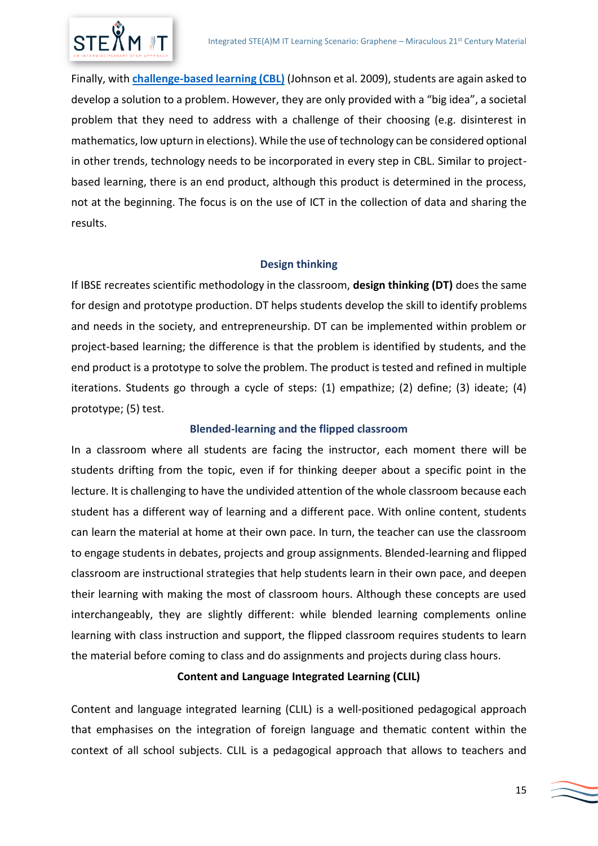

Finally, with **[challenge-based learning \(CBL\)](https://www.youtube.com/watch?v=K-YU0Ea9JKg)** (Johnson et al. 2009), students are again asked to develop a solution to a problem. However, they are only provided with a "big idea", a societal problem that they need to address with a challenge of their choosing (e.g. disinterest in mathematics, low upturn in elections). While the use of technology can be considered optional in other trends, technology needs to be incorporated in every step in CBL. Similar to projectbased learning, there is an end product, although this product is determined in the process, not at the beginning. The focus is on the use of ICT in the collection of data and sharing the results.

## **Design thinking**

If IBSE recreates scientific methodology in the classroom, **design thinking (DT)** does the same for design and prototype production. DT helps students develop the skill to identify problems and needs in the society, and entrepreneurship. DT can be implemented within problem or project-based learning; the difference is that the problem is identified by students, and the end product is a prototype to solve the problem. The product is tested and refined in multiple iterations. Students go through a cycle of steps: (1) empathize; (2) define; (3) ideate; (4) prototype; (5) test.

# **Blended-learning and the flipped classroom**

In a classroom where all students are facing the instructor, each moment there will be students drifting from the topic, even if for thinking deeper about a specific point in the lecture. It is challenging to have the undivided attention of the whole classroom because each student has a different way of learning and a different pace. With online content, students can learn the material at home at their own pace. In turn, the teacher can use the classroom to engage students in debates, projects and group assignments. Blended-learning and flipped classroom are instructional strategies that help students learn in their own pace, and deepen their learning with making the most of classroom hours. Although these concepts are used interchangeably, they are slightly different: while blended learning complements online learning with class instruction and support, the flipped classroom requires students to learn the material before coming to class and do assignments and projects during class hours.

# **Content and Language Integrated Learning (CLIL)**

Content and language integrated learning (CLIL) is a well-positioned pedagogical approach that emphasises on the integration of foreign language and thematic content within the context of all school subjects. CLIL is a pedagogical approach that allows to teachers and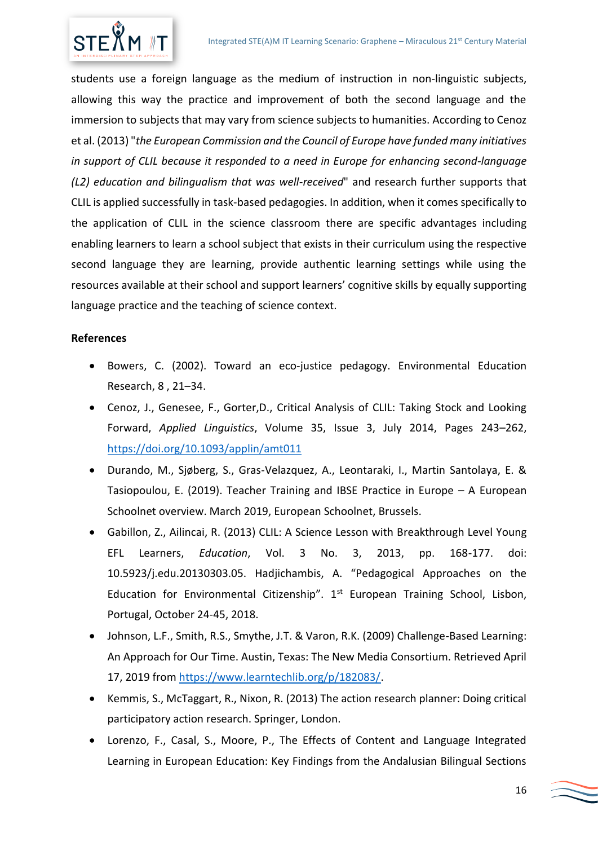

students use a foreign language as the medium of instruction in non-linguistic subjects, allowing this way the practice and improvement of both the second language and the immersion to subjects that may vary from science subjects to humanities. According to Cenoz et al. (2013) "*the European Commission and the Council of Europe have funded many initiatives in support of CLIL because it responded to a need in Europe for enhancing second-language (L2) education and bilingualism that was well-received*" and research further supports that CLIL is applied successfully in task-based pedagogies. In addition, when it comes specifically to the application of CLIL in the science classroom there are specific advantages including enabling learners to learn a school subject that exists in their curriculum using the respective second language they are learning, provide authentic learning settings while using the resources available at their school and support learners' cognitive skills by equally supporting language practice and the teaching of science context.

# **References**

- Bowers, C. (2002). Toward an eco-justice pedagogy. Environmental Education Research, 8 , 21–34.
- Cenoz, J., Genesee, F., Gorter,D., Critical Analysis of CLIL: Taking Stock and Looking Forward, *Applied Linguistics*, Volume 35, Issue 3, July 2014, Pages 243–262, <https://doi.org/10.1093/applin/amt011>
- Durando, M., Sjøberg, S., Gras-Velazquez, A., Leontaraki, I., Martin Santolaya, E. & Tasiopoulou, E. (2019). Teacher Training and IBSE Practice in Europe – A European Schoolnet overview. March 2019, European Schoolnet, Brussels.
- Gabillon, Z., Ailincai, R. (2013) CLIL: A Science Lesson with Breakthrough Level Young EFL Learners, *Education*, Vol. 3 No. 3, 2013, pp. 168-177. doi: 10.5923/j.edu.20130303.05. Hadjichambis, A. "Pedagogical Approaches on the Education for Environmental Citizenship".  $1<sup>st</sup>$  European Training School, Lisbon, Portugal, October 24-45, 2018.
- Johnson, L.F., Smith, R.S., Smythe, J.T. & Varon, R.K. (2009) Challenge-Based Learning: An Approach for Our Time. Austin, Texas: The New Media Consortium. Retrieved April 17, 2019 from [https://www.learntechlib.org/p/182083/.](https://www.learntechlib.org/p/182083/)
- Kemmis, S., McTaggart, R., Nixon, R. (2013) The action research planner: Doing critical participatory action research. Springer, London.
- Lorenzo, F., Casal, S., Moore, P., The Effects of Content and Language Integrated Learning in European Education: Key Findings from the Andalusian Bilingual Sections